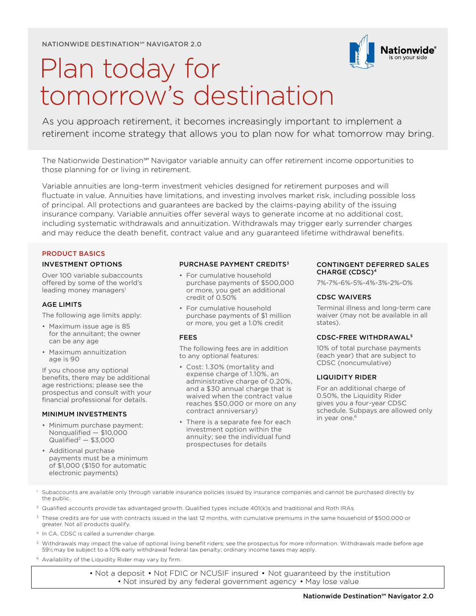NATIONWIDE DESTINATION℠ NAVIGATOR 2.0



# Plan today for tomorrow's destination

As you approach retirement, it becomes increasingly important to implement a retirement income strategy that allows you to plan now for what tomorrow may bring.

The Nationwide Destination℠ Navigator variable annuity can offer retirement income opportunities to those planning for or living in retirement.

Variable annuities are long-term investment vehicles designed for retirement purposes and will fluctuate in value. Annuities have limitations, and investing involves market risk, including possible loss of principal. All protections and guarantees are backed by the claims-paying ability of the issuing insurance company. Variable annuities offer several ways to generate income at no additional cost, including systematic withdrawals and annuitization. Withdrawals may trigger early surrender charges and may reduce the death benefit, contract value and any guaranteed lifetime withdrawal benefits.

# PRODUCT BASICS

# INVESTMENT OPTIONS

Over 100 variable subaccounts offered by some of the world's leading money managers<sup>1</sup>

# AGE LIMITS

The following age limits apply:

- Maximum issue age is 85 for the annuitant; the owner can be any age
- Maximum annuitization age is 90

If you choose any optional benefits, there may be additional age restrictions; please see the prospectus and consult with your financial professional for details.

# MINIMUM INVESTMENTS

- Minimum purchase payment: Nonqualified — \$10,000  $Qualified<sup>2</sup> – $3,000$
- Additional purchase payments must be a minimum of \$1,000 (\$150 for automatic electronic payments)

## PURCHASE PAYMENT CREDITS3

- For cumulative household purchase payments of \$500,000 or more, you get an additional credit of 0.50%
- For cumulative household purchase payments of \$1 million or more, you get a 1.0% credit

# FEES

The following fees are in addition to any optional features:

- Cost: 1.30% (mortality and expense charge of 1.10%, an administrative charge of 0.20%, and a \$30 annual charge that is waived when the contract value reaches \$50,000 or more on any contract anniversary)
- There is a separate fee for each investment option within the annuity; see the individual fund prospectuses for details

## CONTINGENT DEFERRED SALES CHARGE (CDSC)4

7%-7%-6%-5%-4%-3%-2%-0%

## CDSC WAIVERS

Terminal illness and long-term care waiver (may not be available in all states).

# CDSC-FREE WITHDRAWAL5

10% of total purchase payments (each year) that are subject to CDSC (noncumulative)

# LIQUIDITY RIDER

For an additional charge of 0.50%, the Liquidity Rider gives you a four-year CDSC schedule. Subpays are allowed only in year one.<sup>6</sup>

- Subaccounts are available only through variable insurance policies issued by insurance companies and cannot be purchased directly by the public.
- 2 Qualified accounts provide tax advantaged growth. Qualified types include 401(k)s and traditional and Roth IRAs.
- $3$  These credits are for use with contracts issued in the last 12 months, with cumulative premiums in the same household of \$500,000 or greater. Not all products qualify.
- <sup>4</sup> In CA, CDSC is called a surrender charge.
- <sup>5</sup> Withdrawals may impact the value of optional living benefit riders; see the prospectus for more information. Withdrawals made before age 591 ⁄2 may be subject to a 10% early withdrawal federal tax penalty; ordinary income taxes may apply.
- 6 Availability of the Liquidity Rider may vary by firm.

• Not a deposit • Not FDIC or NCUSIF insured • Not guaranteed by the institution • Not insured by any federal government agency • May lose value